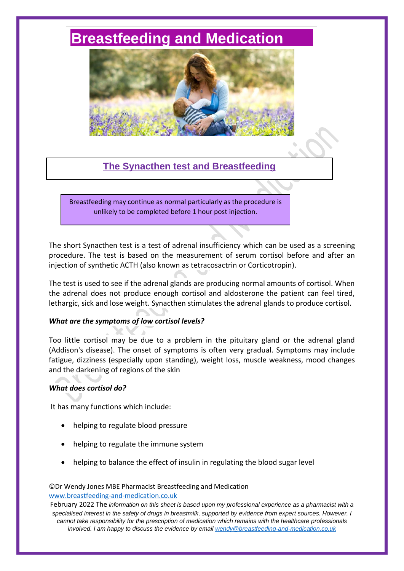# **[Breastfeeding and Medication](http://www.breastfeeding-and-medication.co.uk/)**



# **The Synacthen test and Breastfeeding**

Breastfeeding may continue as normal particularly as the procedure is unlikely to be completed before 1 hour post injection.

The short Synacthen test is a test of adrenal insufficiency which can be used as a screening procedure. The test is based on the measurement of serum cortisol before and after an injection of synthetic ACTH (also known as tetracosactrin or Corticotropin).

The test is used to see if the adrenal glands are producing normal amounts of cortisol. When the adrenal does not produce enough cortisol and aldosterone the patient can feel tired, lethargic, sick and lose weight. Synacthen stimulates the adrenal glands to produce cortisol.

# *What are the symptoms of low cortisol levels?*

Too little cortisol may be due to a problem in the pituitary gland or the adrenal gland (Addison's disease). The onset of symptoms is often very gradual. Symptoms may include fatigue, dizziness (especially upon standing), weight loss, muscle weakness, mood changes and the darkening of regions of the skin

# *What does cortisol do?*

It has many functions which include:

- helping to regulate blood pressure
- helping to regulate the immune system
- helping to balance the effect of insulin in regulating the blood sugar level

#### ©Dr Wendy Jones MBE Pharmacist Breastfeeding and Medication [www.breastfeeding-and-medication.co.uk](http://www.breastfeeding-and-medication.co.uk/)

February 2022 The *information on this sheet is based upon my professional experience as a pharmacist with a specialised interest in the safety of drugs in breastmilk, supported by evidence from expert sources. However, I cannot take responsibility for the prescription of medication which remains with the healthcare professionals involved. I am happy to discuss the evidence by email [wendy@breastfeeding-and-medication.co.uk](mailto:wendy@breastfeeding-and-medication.co.uk)*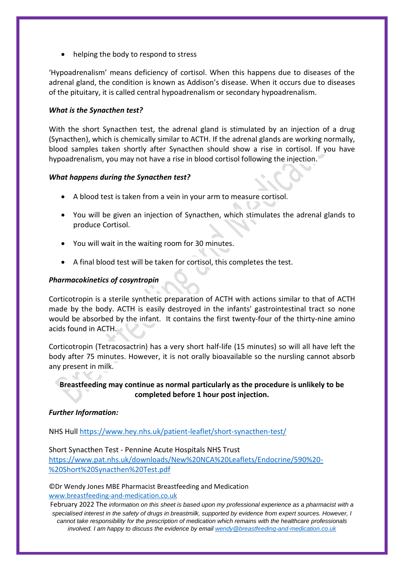• helping the body to respond to stress

'Hypoadrenalism' means deficiency of cortisol. When this happens due to diseases of the adrenal gland, the condition is known as Addison's disease. When it occurs due to diseases of the pituitary, it is called central hypoadrenalism or secondary hypoadrenalism.

# *What is the Synacthen test?*

With the short Synacthen test, the adrenal gland is stimulated by an injection of a drug (Synacthen), which is chemically similar to ACTH. If the adrenal glands are working normally, blood samples taken shortly after Synacthen should show a rise in cortisol. If you have hypoadrenalism, you may not have a rise in blood cortisol following the injection.

# *What happens during the Synacthen test?*

- A blood test is taken from a vein in your arm to measure cortisol.
- You will be given an injection of Synacthen, which stimulates the adrenal glands to produce Cortisol.
- You will wait in the waiting room for 30 minutes.
- A final blood test will be taken for cortisol, this completes the test.

# *Pharmacokinetics of cosyntropin*

Corticotropin is a sterile synthetic preparation of ACTH with actions similar to that of ACTH made by the body. ACTH is easily destroyed in the infants' gastrointestinal tract so none would be absorbed by the infant. It contains the first twenty-four of the thirty-nine amino acids found in ACTH.

Corticotropin (Tetracosactrin) has a very short half-life (15 minutes) so will all have left the body after 75 minutes. However, it is not orally bioavailable so the nursling cannot absorb any present in milk.

**Breastfeeding may continue as normal particularly as the procedure is unlikely to be completed before 1 hour post injection.**

# *Further Information:*

NHS Hull<https://www.hey.nhs.uk/patient-leaflet/short-synacthen-test/>

Short Synacthen Test - Pennine Acute Hospitals NHS Trust [https://www.pat.nhs.uk/downloads/New%20NCA%20Leaflets/Endocrine/590%20-](https://www.pat.nhs.uk/downloads/New%20NCA%20Leaflets/Endocrine/590%20-%20Short%20Synacthen%20Test.pdf) [%20Short%20Synacthen%20Test.pdf](https://www.pat.nhs.uk/downloads/New%20NCA%20Leaflets/Endocrine/590%20-%20Short%20Synacthen%20Test.pdf)

©Dr Wendy Jones MBE Pharmacist Breastfeeding and Medication [www.breastfeeding-and-medication.co.uk](http://www.breastfeeding-and-medication.co.uk/)

February 2022 The *information on this sheet is based upon my professional experience as a pharmacist with a specialised interest in the safety of drugs in breastmilk, supported by evidence from expert sources. However, I cannot take responsibility for the prescription of medication which remains with the healthcare professionals involved. I am happy to discuss the evidence by email [wendy@breastfeeding-and-medication.co.uk](mailto:wendy@breastfeeding-and-medication.co.uk)*